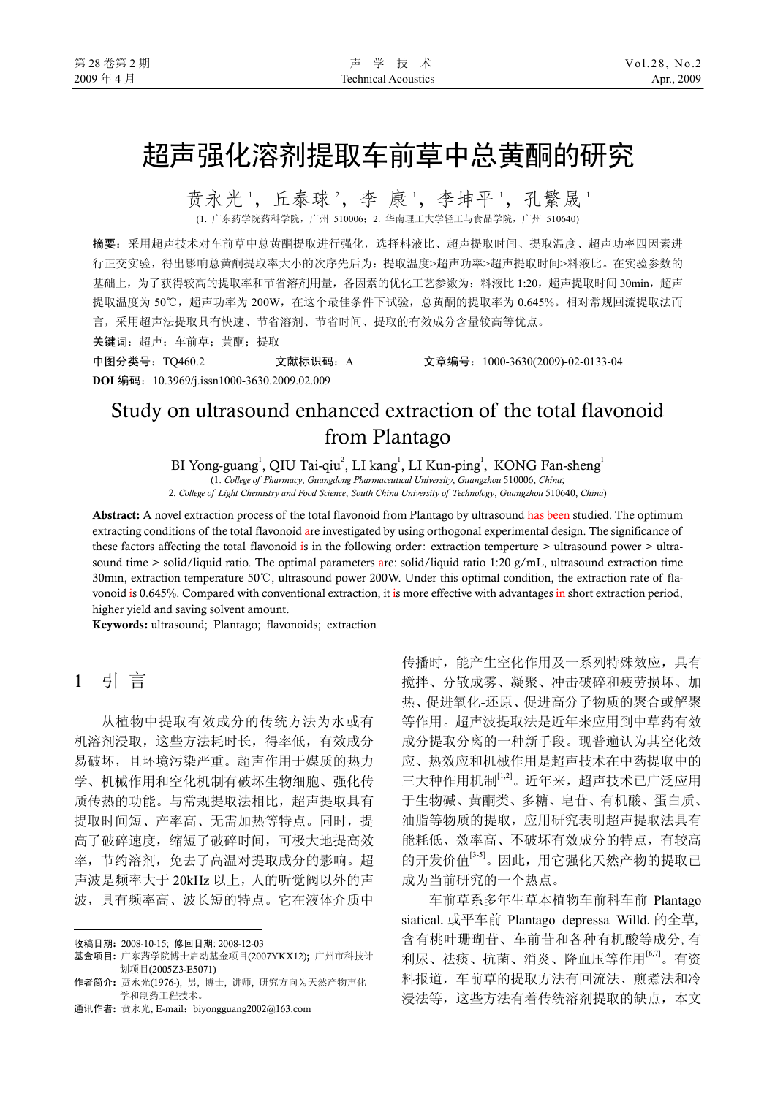# 超声强化溶剂提取车前草中总黄酮的研究

贲永光 ', 丘泰球 ', 李 康 ', 李坤平 ', 孔繁晟 ' (1. 广东药学院药科学院,广州 510006;2. 华南理工大学轻工与食品学院,广州 510640)

摘要:采用超声技术对车前草中总黄酮提取进行强化,选择料液比、超声提取时间、提取温度、超声功率四因素进 行正交实验,得出影响总黄酮提取率大小的次序先后为:提取温度>超声功率>超声提取时间>料液比。在实验参数的 基础上,为了获得较高的提取率和节省溶剂用量,各因素的优化工艺参数为:料液比 1:20,超声提取时间 30min,超声 提取温度为 50℃,超声功率为 200W, 在这个最佳条件下试验, 总黄酮的提取率为 0.645%。相对常规回流提取法而 言,采用超声法提取具有快速、节省溶剂、节省时间、提取的有效成分含量较高等优点。

关键词: 超声;车前草;黄酮; 提取

中图分类号:TQ460.2 文献标识码:A 文章编号:1000-3630(2009)-02-0133-04 **DOI** 编码:10.3969/j.issn1000-3630.2009.02.009

# Study on ultrasound enhanced extraction of the total flavonoid from Plantago

BI Yong-guang<sup>1</sup>, QIU Tai-qiu<sup>2</sup>, LI kang<sup>1</sup>, LI Kun-ping<sup>1</sup>, KONG Fan-sheng<sup>1</sup>

(1. *College of Pharmacy*, *Guangdong Pharmaceutical University*, *Guangzhou* 510006, *China*;

2*. College of Light Chemistry and Food Science*, *South China University of Technology*, *Guangzhou* 510640, *China*)

Abstract: A novel extraction process of the total flavonoid from Plantago by ultrasound has been studied. The optimum extracting conditions of the total flavonoid are investigated by using orthogonal experimental design. The significance of these factors affecting the total flavonoid is in the following order: extraction temperture > ultrasound power > ultrasound time  $>$  solid/liquid ratio. The optimal parameters are: solid/liquid ratio 1:20 g/mL, ultrasound extraction time 30min, extraction temperature 50℃, ultrasound power 200W. Under this optimal condition, the extraction rate of flavonoid is 0.645%. Compared with conventional extraction, it is more effective with advantages in short extraction period, higher yield and saving solvent amount.

Keywords: ultrasound; Plantago; flavonoids; extraction

# 1 引 言

 $\overline{a}$ 

从植物中提取有效成分的传统方法为水或有 机溶剂浸取,这些方法耗时长,得率低,有效成分 易破坏,且环境污染严重。超声作用于媒质的热力 学、机械作用和空化机制有破坏生物细胞、强化传 质传热的功能。与常规提取法相比,超声提取具有 提取时间短、产率高、无需加热等特点。同时,提 高了破碎速度,缩短了破碎时间,可极大地提高效 率,节约溶剂,免去了高温对提取成分的影响。超 声波是频率大于 20kHz 以上,人的听觉阀以外的声 波,具有频率高、波长短的特点。它在液体介质中

通讯作者: 贲永光, E-mail:biyongguang2002@163.com

传播时,能产生空化作用及一系列特殊效应,具有 搅拌、分散成雾、凝聚、冲击破碎和疲劳损坏、加 热、促进氧化-还原、促进高分子物质的聚合或解聚 等作用。超声波提取法是近年来应用到中草药有效 成分提取分离的一种新手段。现普遍认为其空化效 应、热效应和机械作用是超声技术在中药提取中的 三大种作用机制[1,2]。近年来,超声技术已广泛应用 于生物碱、黄酮类、多糖、皂苷、有机酸、蛋白质、 油脂等物质的提取,应用研究表明超声提取法具有 能耗低、效率高、不破坏有效成分的特点,有较高 的开发价值[3-5]。因此,用它强化天然产物的提取已 成为当前研究的一个热点。

车前草系多年生草本植物车前科车前 Plantago siatical. 或平车前 Plantago depressa Willd. 的全草, 含有桃叶珊瑚苷、车前苷和各种有机酸等成分,有 利尿、祛痰、抗菌、消炎、降血压等作用[6,7]。有资 料报道,车前草的提取方法有回流法、煎煮法和冷 浸法等,这些方法有着传统溶剂提取的缺点,本文

收稿日期: 2008-10-15; 修回日期: 2008-12-03

基金项目: 广东药学院博士启动基金项目(2007YKX12); 广州市科技计 划项目(2005Z3-E5071)

作者简介: 贲永光(1976-), 男, 博士, 讲师, 研究方向为天然产物声化 学和制药工程技术。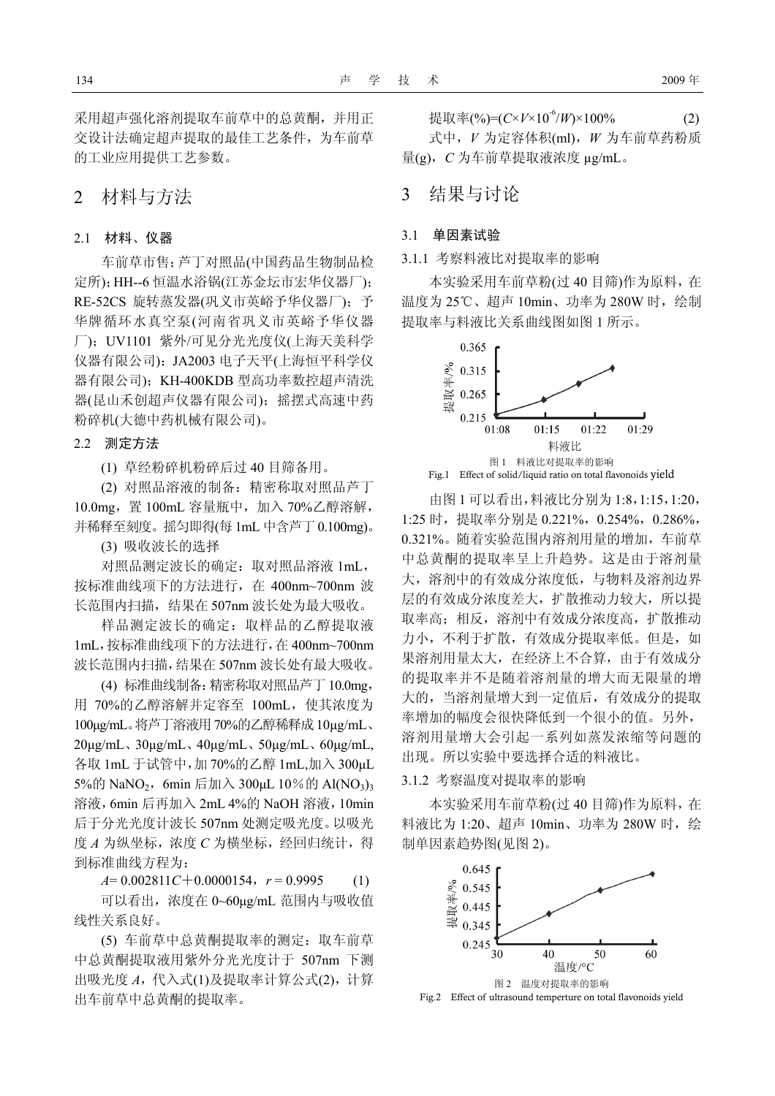采用超声强化溶剂提取车前草中的总黄酮,并用正 交设计法确定超声提取的最佳工艺条件,为车前草 的工业应用提供工艺参数。

### 2 材料与方法

#### 2.1 材料、仪器

车前草市售;芦丁对照品(中国药品生物制品检 定所);HH--6 恒温水浴锅(江苏金坛市宏华仪器厂); RE-52CS 旋转蒸发器(巩义市英峪予华仪器厂);予 华牌循环水真空泵(河南省巩义市英峪予华仪器 厂);UV1101 紫外/可见分光光度仪(上海天美科学 仪器有限公司);JA2003 电子天平(上海恒平科学仪 器有限公司); KH-400KDB 型高功率数控超声清洗 器(昆山禾创超声仪器有限公司);摇摆式高速中药 粉碎机(大德中药机械有限公司)。

#### 2.2 测定方法

(1) 草经粉碎机粉碎后过 40 目筛备用。

(2) 对照品溶液的制备:精密称取对照品芦丁 10.0mg,置 100mL 容量瓶中,加入 70%乙醇溶解, 并稀释至刻度。摇匀即得(每 1mL 中含芦丁 0.100mg)。

(3) 吸收波长的选择

对照品测定波长的确定:取对照品溶液 1mL, 按标准曲线项下的方法进行,在 400nm~700nm 波 长范围内扫描, 结果在 507nm 波长处为最大吸收。

样品测定波长的确定:取样品的乙醇提取液 1mL,按标准曲线项下的方法进行,在 400nm~700nm 波长范围内扫描,结果在 507nm 波长处有最大吸收。

(4) 标准曲线制备:精密称取对照品芦丁 10.0mg, 用 70%的乙醇溶解并定容至 100mL,使其浓度为 100µg/mL。将芦丁溶液用70%的乙醇稀释成10µg/mL、 20µg/mL、30µg/mL、40µg/mL、50µg/mL、60µg/mL, 各取 1mL 于试管中,加 70%的乙醇 1mL,加入 300µL 5%的 NaNO<sub>2</sub>, 6min 后加入 300µL 10%的 Al(NO<sub>3</sub>)<sub>3</sub> 溶液,6min 后再加入 2mL 4%的 NaOH 溶液,10min 后于分光光度计波长 507nm 处测定吸光度。以吸光 度 A 为纵坐标, 浓度 C 为横坐标, 经回归统计, 得 到标准曲线方程为:

*A*= 0.002811*C*+0.0000154,*r* = 0.9995 (1)

可以看出,浓度在 0~60µg/mL 范围内与吸收值 线性关系良好。

(5) 车前草中总黄酮提取率的测定:取车前草 中总黄酮提取液用紫外分光光度计于 507nm 下测 出吸光度 *A*,代入式(1)及提取率计算公式(2),计算 出车前草中总黄酮的提取率。

提取率(%)= $(C \times V \times 10^{-6}/W) \times 100\%$  (2) 式中,*V* 为定容体积(ml),*W* 为车前草药粉质 量(g),*C* 为车前草提取液浓度 µg/mL。

## 3 结果与讨论

#### 3.1 单因素试验

3.1.1 考察料液比对提取率的影响

本实验采用车前草粉(过 40 目筛)作为原料,在 温度为 25℃、超声 10min、功率为 280W 时,绘制 提取率与料液比关系曲线图如图 1 所示。



由图 1 可以看出,料液比分别为 1:8,1:15,1:20, 1:25 时,提取率分别是 0.221%,0.254%,0.286%, 0.321%。随着实验范围内溶剂用量的增加,车前草 中总黄酮的提取率呈上升趋势。这是由于溶剂量 大,溶剂中的有效成分浓度低,与物料及溶剂边界 层的有效成分浓度差大,扩散推动力较大,所以提 取率高;相反,溶剂中有效成分浓度高,扩散推动 力小,不利于扩散,有效成分提取率低。但是, 如 果溶剂用量太大,在经济上不合算,由于有效成分 的提取率并不是随着溶剂量的增大而无限量的增 大的,当溶剂量增大到一定值后,有效成分的提取 率增加的幅度会很快降低到一个很小的值。另外, 溶剂用量增大会引起一系列如蒸发浓缩等问题的 出现。所以实验中要选择合适的料液比。

#### 3.1.2 考察温度对提取率的影响

本实验采用车前草粉(过 40 目筛)作为原料,在 料液比为 1:20、超声 10min、功率为 280W 时, 绘 制单因素趋势图(见图 2)。



Fig.2 Effect of ultrasound temperture on total flavonoids yield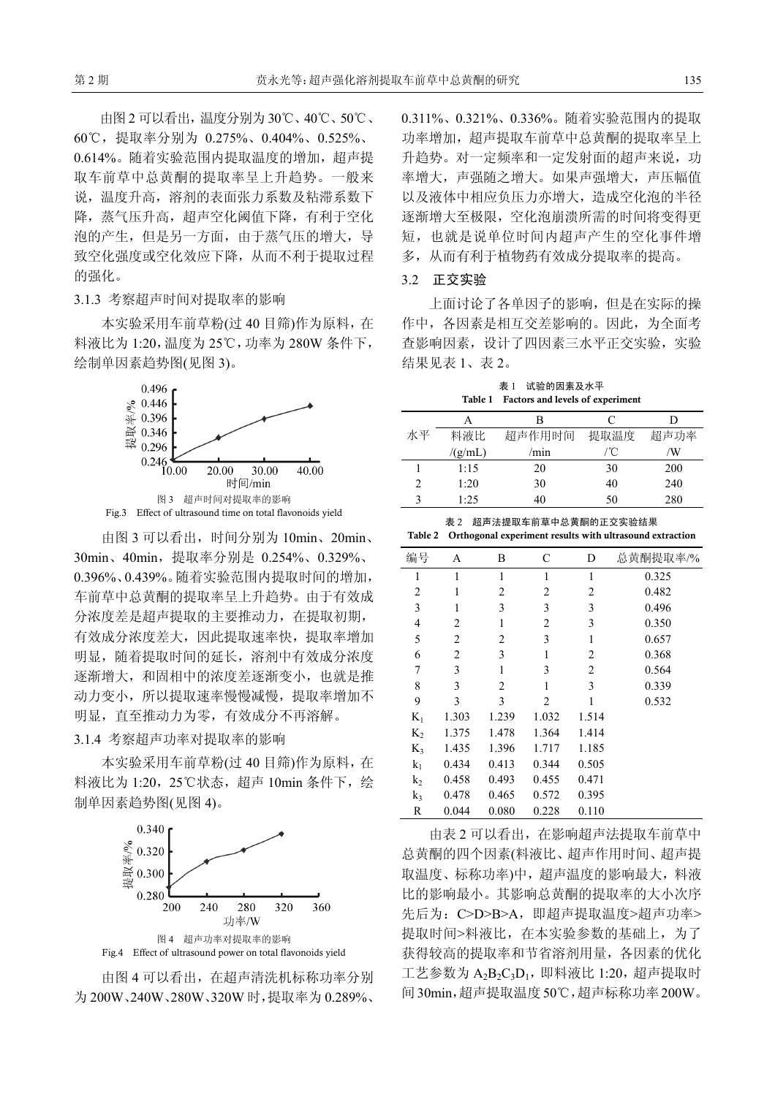由图 2 可以看出,温度分别为 30℃、40℃、50℃、 60℃,提取率分别为 0.275%、0.404%、0.525%、 0.614%。随着实验范围内提取温度的增加,超声提 取车前草中总黄酮的提取率呈上升趋势。一般来 说,温度升高,溶剂的表面张力系数及粘滞系数下 降,蒸气压升高,超声空化阈值下降,有利于空化 泡的产生,但是另一方面,由于蒸气压的增大,导 致空化强度或空化效应下降,从而不利于提取过程 的强化。

3.1.3 考察超声时间对提取率的影响

本实验采用车前草粉(过 40 目筛)作为原料,在 料液比为 1:20,温度为 25℃,功率为 280W 条件下, 绘制单因素趋势图(见图 3)。



由图 3 可以看出, 时间分别为 10min、20min、 30min、40min,提取率分别是 0.254%、0.329%、 0.396%、0.439%。随着实验范围内提取时间的增加, 车前草中总黄酮的提取率呈上升趋势。由于有效成 分浓度差是超声提取的主要推动力,在提取初期, 有效成分浓度差大,因此提取速率快,提取率增加 明显,随着提取时间的延长,溶剂中有效成分浓度 逐渐增大,和固相中的浓度差逐渐变小,也就是推 动力变小,所以提取速率慢慢减慢,提取率增加不 明显,直至推动力为零,有效成分不再溶解。

3.1.4 考察超声功率对提取率的影响

本实验采用车前草粉(过 40 目筛)作为原料,在 料液比为 1:20, 25℃状态, 超声 10min 条件下, 绘 制单因素趋势图(见图 4)。



由图 4 可以看出,在超声清洗机标称功率分别

为 200W、240W、280W、320W 时,提取率为 0.289%、

0.311%、0.321%、0.336%。随着实验范围内的提取 功率增加, 超声提取车前草中总黄酮的提取率呈上 升趋势。对一定频率和一定发射面的超声来说, 功 率增大,声强随之增大。如果声强增大,声压幅值 以及液体中相应负压力亦增大,造成空化泡的半径 逐渐增大至极限,空化泡崩溃所需的时间将变得更 短,也就是说单位时间内超声产生的空化事件增 多,从而有利于植物药有效成分提取率的提高。

#### 3.2 正交实验

上面讨论了各单因子的影响,但是在实际的操 作中,各因素是相互交差影响的。因此,为全面考 查影响因素,设计了四因素三水平正交实验,实验 结果见表 1、表 2。

表 1 试验的因素及水平 Table 1 Factors and levels of experiment

|    | А       | В      | C    | I)         |
|----|---------|--------|------|------------|
| 水平 | 料液比     | 超声作用时间 | 提取温度 | 超声功率       |
|    | /(g/mL) | /min   | /°C  | /W         |
|    | 1:15    | 20     | 30   | <b>200</b> |
|    | 1:20    | 30     | 40   | 240        |
|    | 1.25    | 40     | 50   | 280        |

|  | 表 2 超声法提取车前草中总黄酮的正交实验结果                                          |
|--|------------------------------------------------------------------|
|  | Table 2 Orthogonal experiment results with ultrasound extraction |

| 编号    | A              | B              | C              | D            | 总黄酮提取率/% |
|-------|----------------|----------------|----------------|--------------|----------|
| 1     | 1              | 1              | 1              | $\mathbf{1}$ | 0.325    |
| 2     | 1              | $\overline{c}$ | 2              | 2            | 0.482    |
| 3     | 1              | 3              | 3              | 3            | 0.496    |
| 4     | $\overline{2}$ | 1              | $\overline{c}$ | 3            | 0.350    |
| 5     | 2              | $\overline{c}$ | 3              | 1            | 0.657    |
| 6     | 2              | 3              | $\mathbf{1}$   | 2            | 0.368    |
| 7     | 3              | 1              | 3              | 2            | 0.564    |
| 8     | 3              | $\overline{c}$ | 1              | 3            | 0.339    |
| 9     | 3              | 3              | $\overline{c}$ | 1            | 0.532    |
| $K_1$ | 1.303          | 1.239          | 1.032          | 1.514        |          |
| $K_2$ | 1.375          | 1.478          | 1.364          | 1.414        |          |
| $K_3$ | 1.435          | 1.396          | 1.717          | 1.185        |          |
| $k_1$ | 0.434          | 0.413          | 0.344          | 0.505        |          |
| $k_2$ | 0.458          | 0.493          | 0.455          | 0.471        |          |
| $k_3$ | 0.478          | 0.465          | 0.572          | 0.395        |          |
| R     | 0.044          | 0.080          | 0.228          | 0.110        |          |

由表 2 可以看出,在影响超声法提取车前草中 总黄酮的四个因素(料液比、超声作用时间、超声提 取温度、标称功率)中,超声温度的影响最大,料液 比的影响最小。其影响总黄酮的提取率的大小次序 先后为: C>D>B>A, 即超声提取温度>超声功率> 提取时间>料液比,在本实验参数的基础上,为了 获得较高的提取率和节省溶剂用量,各因素的优化 工艺参数为  $A_2B_2C_3D_1$ , 即料液比 1:20, 超声提取时 间30min,超声提取温度50℃,超声标称功率200W。